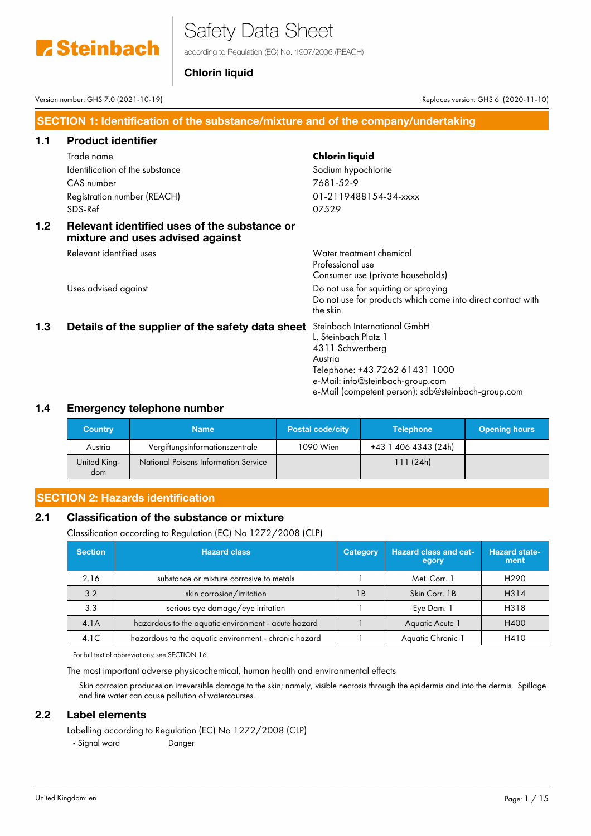

## **Chlorin liquid**

#### Version number: GHS 7.0 (2021-10-19) Replaces version: GHS 6 (2020-11-10)

## **SECTION 1: Identification of the substance/mixture and of the company/undertaking**

| 1.1 | <b>Product identifier</b>                                                        |                                                                                                                                                           |
|-----|----------------------------------------------------------------------------------|-----------------------------------------------------------------------------------------------------------------------------------------------------------|
|     | Trade name                                                                       | <b>Chlorin liquid</b>                                                                                                                                     |
|     | Identification of the substance                                                  | Sodium hypochlorite                                                                                                                                       |
|     | CAS number                                                                       | 7681-52-9                                                                                                                                                 |
|     | Registration number (REACH)                                                      | 01-2119488154-34-xxxx                                                                                                                                     |
|     | SDS-Ref                                                                          | 07529                                                                                                                                                     |
| 1.2 | Relevant identified uses of the substance or<br>mixture and uses advised against |                                                                                                                                                           |
|     | Relevant identified uses                                                         | Water treatment chemical<br>Professional use<br>Consumer use (private households)                                                                         |
|     | Uses advised against                                                             | Do not use for squirting or spraying<br>Do not use for products which come into direct contact with<br>the skin                                           |
| 1.3 | Details of the supplier of the safety data sheet                                 | Steinbach International GmbH<br>L. Steinbach Platz 1<br>4311 Schwertberg<br>Austria<br>Telephone: +43 7262 61431 1000<br>e-Mail: info@steinbach-group.com |

e-Mail (competent person): sdb@steinbach-group.com

## **1.4 Emergency telephone number**

| <b>Country</b>                                              | <b>Name</b>                     |           | <b>Telephone</b>     | <b>Opening hours</b> |
|-------------------------------------------------------------|---------------------------------|-----------|----------------------|----------------------|
| Austria                                                     | Vergiftungsinformationszentrale | 1090 Wien | +43 1 406 4343 (24h) |                      |
| United King-<br>National Poisons Information Service<br>dom |                                 |           | 111(24h)             |                      |

## **SECTION 2: Hazards identification**

## **2.1 Classification of the substance or mixture**

Classification according to Regulation (EC) No 1272/2008 (CLP)

| <b>Section</b> | <b>Hazard class</b>                                   | <b>Category</b> | <b>Hazard class and cat-</b><br>egory | <b>Hazard state-</b><br>ment |
|----------------|-------------------------------------------------------|-----------------|---------------------------------------|------------------------------|
| 2.16           | substance or mixture corrosive to metals              |                 | Met. Corr. 1                          | H <sub>290</sub>             |
| 3.2            | skin corrosion/irritation                             | 1 B             | Skin Corr. 1B                         | H314                         |
| 3.3            | serious eye damage/eye irritation                     |                 | Eye Dam. 1                            | H318                         |
| 4.1A           | hazardous to the aquatic environment - acute hazard   |                 | Aquatic Acute 1                       | H400                         |
| 4.1C           | hazardous to the aquatic environment - chronic hazard |                 | Aquatic Chronic 1                     | H410                         |

For full text of abbreviations: see SECTION 16.

The most important adverse physicochemical, human health and environmental effects

Skin corrosion produces an irreversible damage to the skin; namely, visible necrosis through the epidermis and into the dermis. Spillage and fire water can cause pollution of watercourses.

## **2.2 Label elements**

Labelling according to Regulation (EC) No 1272/2008 (CLP)

- Signal word Danger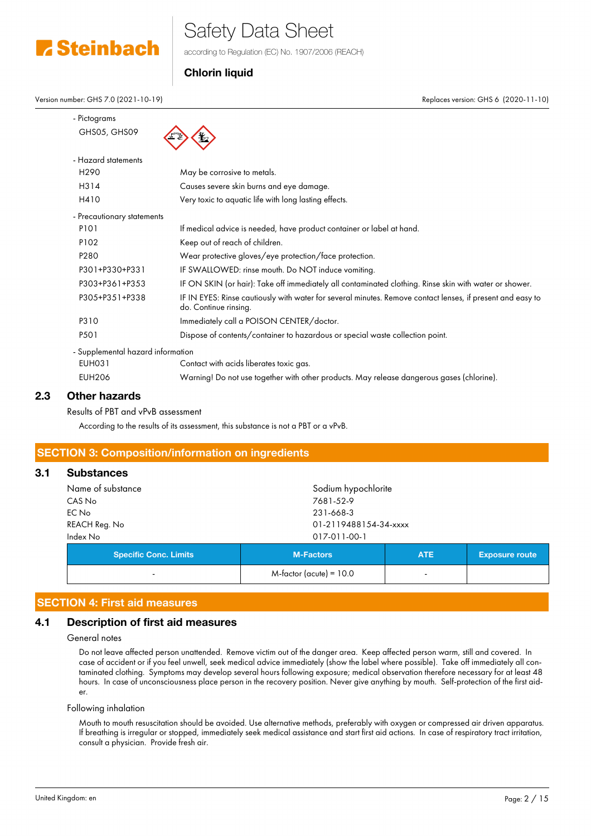

according to Regulation (EC) No. 1907/2006 (REACH)

## **Chlorin liquid**

Version number: GHS 7.0 (2021-10-19) Replaces version: GHS 6 (2020-11-10)

| - Pictograms                      |                                                                                                                                     |
|-----------------------------------|-------------------------------------------------------------------------------------------------------------------------------------|
| GHS05, GHS09                      |                                                                                                                                     |
| - Hazard statements               |                                                                                                                                     |
| H <sub>290</sub>                  | May be corrosive to metals.                                                                                                         |
| H314                              | Causes severe skin burns and eye damage.                                                                                            |
| H410                              | Very toxic to aquatic life with long lasting effects.                                                                               |
| - Precautionary statements        |                                                                                                                                     |
| P <sub>10</sub> 1                 | If medical advice is needed, have product container or label at hand.                                                               |
| P102                              | Keep out of reach of children.                                                                                                      |
| P <sub>280</sub>                  | Wear protective gloves/eye protection/face protection.                                                                              |
| P301+P330+P331                    | IF SWALLOWED: rinse mouth. Do NOT induce vomiting.                                                                                  |
| P303+P361+P353                    | IF ON SKIN (or hair): Take off immediately all contaminated clothing. Rinse skin with water or shower.                              |
| P305+P351+P338                    | IF IN EYES: Rinse cautiously with water for several minutes. Remove contact lenses, if present and easy to<br>do. Continue rinsing. |
| P310                              | Immediately call a POISON CENTER/doctor.                                                                                            |
| P501                              | Dispose of contents/container to hazardous or special waste collection point.                                                       |
| - Supplemental hazard information |                                                                                                                                     |
| <b>EUH031</b>                     | Contact with acids liberates toxic gas.                                                                                             |
| <b>EUH206</b>                     | Warning! Do not use together with other products. May release dangerous gases (chlorine).                                           |

## **2.3 Other hazards**

Results of PBT and vPvB assessment

According to the results of its assessment, this substance is not a PBT or a vPvB.

## **SECTION 3: Composition/information on ingredients**

## **3.1 Substances**

| Name of substance            | Sodium hypochlorite        |     |                       |
|------------------------------|----------------------------|-----|-----------------------|
| CAS No                       | 7681-52-9                  |     |                       |
| EC No                        | 231-668-3                  |     |                       |
| REACH Reg. No                | 01-2119488154-34-xxxx      |     |                       |
| Index No                     | 017-011-00-1               |     |                       |
| <b>Specific Conc. Limits</b> | <b>M-Factors</b>           | ATE | <b>Exposure route</b> |
| $\blacksquare$               | $M$ -factor (acute) = 10.0 |     |                       |

## **SECTION 4: First aid measures**

## **4.1 Description of first aid measures**

#### General notes

Do not leave affected person unattended. Remove victim out of the danger area. Keep affected person warm, still and covered. In case of accident or if you feel unwell, seek medical advice immediately (show the label where possible). Take off immediately all contaminated clothing. Symptoms may develop several hours following exposure; medical observation therefore necessary for at least 48 hours. In case of unconsciousness place person in the recovery position. Never give anything by mouth. Self-protection of the first aider.

Following inhalation

Mouth to mouth resuscitation should be avoided. Use alternative methods, preferably with oxygen or compressed air driven apparatus. If breathing is irregular or stopped, immediately seek medical assistance and start first aid actions. In case of respiratory tract irritation, consult a physician. Provide fresh air.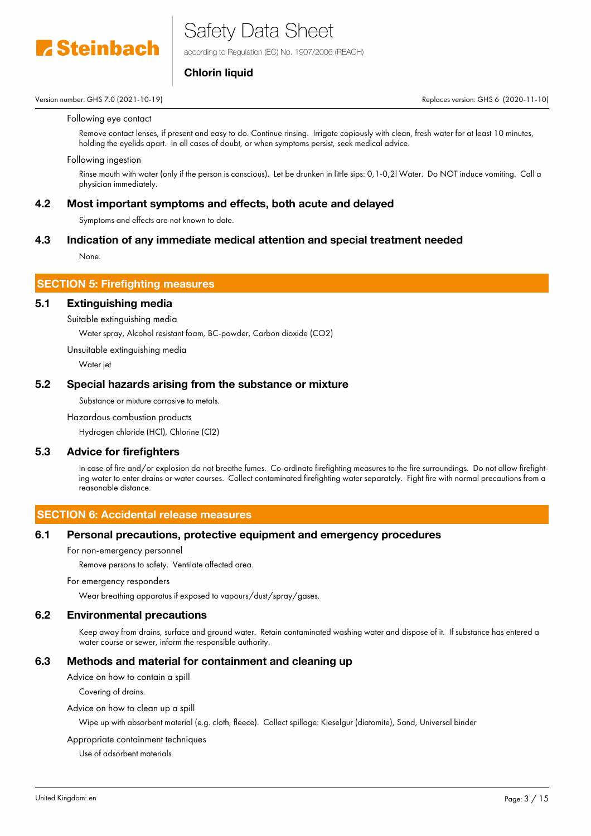

## **Chlorin liquid**

#### Version number: GHS 7.0 (2021-10-19) Replaces version: GHS 6 (2020-11-10)

#### Following eye contact

Remove contact lenses, if present and easy to do. Continue rinsing. Irrigate copiously with clean, fresh water for at least 10 minutes, holding the eyelids apart. In all cases of doubt, or when symptoms persist, seek medical advice.

#### Following ingestion

Rinse mouth with water (only if the person is conscious). Let be drunken in little sips: 0,1-0,2l Water. Do NOT induce vomiting. Call a physician immediately.

#### **4.2 Most important symptoms and effects, both acute and delayed**

Symptoms and effects are not known to date.

#### **4.3 Indication of any immediate medical attention and special treatment needed**

None.

## **SECTION 5: Firefighting measures**

#### **5.1 Extinguishing media**

Suitable extinguishing media

Water spray, Alcohol resistant foam, BC-powder, Carbon dioxide (CO2)

Unsuitable extinguishing media

Water jet

#### **5.2 Special hazards arising from the substance or mixture**

Substance or mixture corrosive to metals.

#### Hazardous combustion products

Hydrogen chloride (HCl), Chlorine (Cl2)

#### **5.3 Advice for firefighters**

In case of fire and/or explosion do not breathe fumes. Co-ordinate firefighting measures to the fire surroundings. Do not allow firefighting water to enter drains or water courses. Collect contaminated firefighting water separately. Fight fire with normal precautions from a reasonable distance.

## **SECTION 6: Accidental release measures**

#### **6.1 Personal precautions, protective equipment and emergency procedures**

For non-emergency personnel

Remove persons to safety. Ventilate affected area.

#### For emergency responders

Wear breathing apparatus if exposed to vapours/dust/spray/gases.

#### **6.2 Environmental precautions**

Keep away from drains, surface and ground water. Retain contaminated washing water and dispose of it. If substance has entered a water course or sewer, inform the responsible authority.

#### **6.3 Methods and material for containment and cleaning up**

Advice on how to contain a spill

Covering of drains.

Advice on how to clean up a spill

Wipe up with absorbent material (e.g. cloth, fleece). Collect spillage: Kieselgur (diatomite), Sand, Universal binder

#### Appropriate containment techniques

Use of adsorbent materials.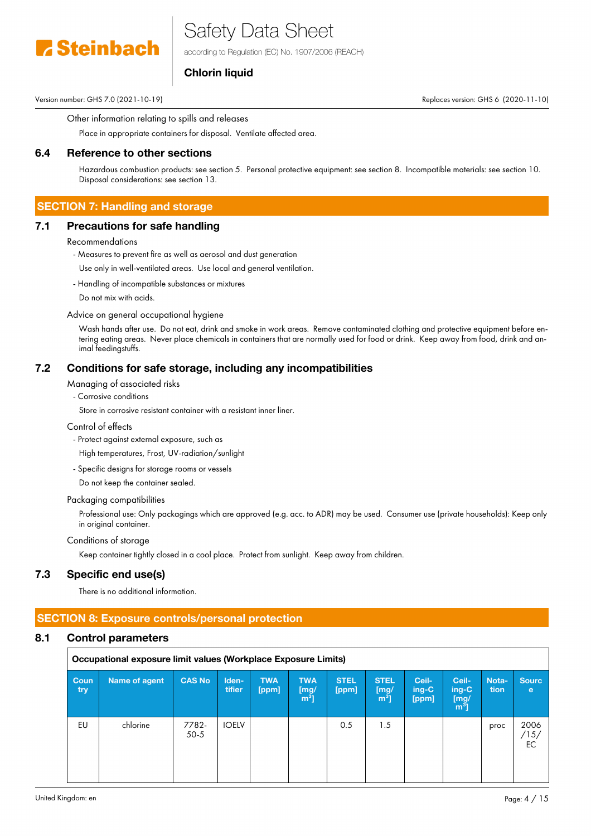

## **Chlorin liquid**

Other information relating to spills and releases

Place in appropriate containers for disposal. Ventilate affected area.

#### **6.4 Reference to other sections**

Hazardous combustion products: see section 5. Personal protective equipment: see section 8. Incompatible materials: see section 10. Disposal considerations: see section 13.

### **SECTION 7: Handling and storage**

### **7.1 Precautions for safe handling**

#### Recommendations

- Measures to prevent fire as well as aerosol and dust generation
- Use only in well-ventilated areas. Use local and general ventilation.
- Handling of incompatible substances or mixtures
- Do not mix with acids.

Advice on general occupational hygiene

Wash hands after use. Do not eat, drink and smoke in work areas. Remove contaminated clothing and protective equipment before entering eating areas. Never place chemicals in containers that are normally used for food or drink. Keep away from food, drink and animal feedingstuffs.

## **7.2 Conditions for safe storage, including any incompatibilities**

- Managing of associated risks
- Corrosive conditions

Store in corrosive resistant container with a resistant inner liner.

#### Control of effects

- Protect against external exposure, such as

High temperatures, Frost, UV-radiation/sunlight

- Specific designs for storage rooms or vessels
- Do not keep the container sealed.

#### Packaging compatibilities

Professional use: Only packagings which are approved (e.g. acc. to ADR) may be used. Consumer use (private households): Keep only in original container.

#### Conditions of storage

Keep container tightly closed in a cool place. Protect from sunlight. Keep away from children.

## **7.3 Specific end use(s)**

There is no additional information.

#### **SECTION 8: Exposure controls/personal protection**

#### **8.1 Control parameters**

|             | Occupational exposure limit values (Workplace Exposure Limits) |                 |                 |                     |                              |                      |                               |                           |                                            |               |                          |
|-------------|----------------------------------------------------------------|-----------------|-----------------|---------------------|------------------------------|----------------------|-------------------------------|---------------------------|--------------------------------------------|---------------|--------------------------|
| Coun<br>try | Name of agent                                                  | <b>CAS No</b>   | Iden-<br>tifier | <b>TWA</b><br>[ppm] | <b>TWA</b><br>[mg/<br>$m3$ ] | <b>STEL</b><br>[ppm] | <b>STEL</b><br>[mg]<br>$m3$ ] | Ceil-<br>$ing-C$<br>[ppm] | Ceil-<br>ing-C<br>[mg]<br>$\overline{m^3}$ | Nota-<br>tion | <b>Sourc</b><br>e        |
| EU          | chlorine                                                       | 7782-<br>$50-5$ | <b>IOELV</b>    |                     |                              | 0.5                  | 1.5                           |                           |                                            | proc          | 2006<br>15/<br><b>EC</b> |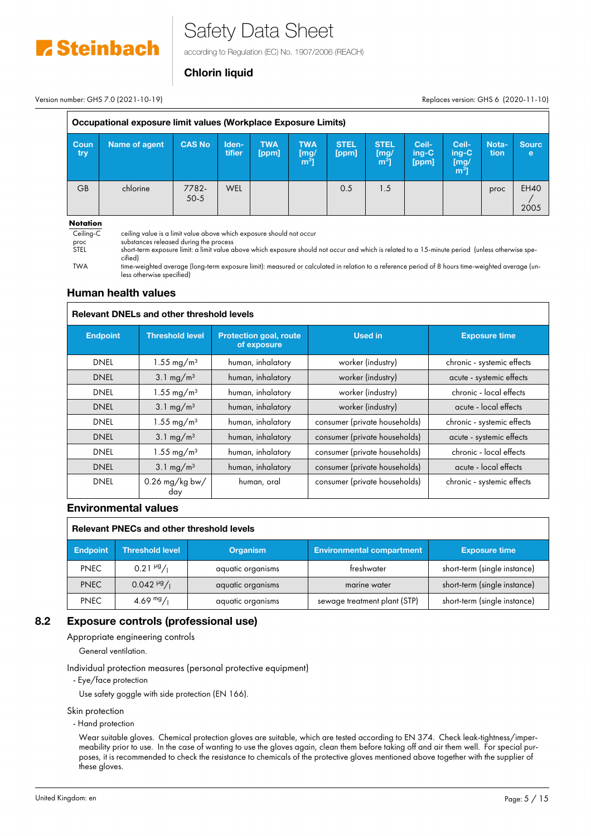

## **Chlorin liquid**

#### Version number: GHS 7.0 (2021-10-19) Replaces version: GHS 6 (2020-11-10)

|             | Occupational exposure limit values (Workplace Exposure Limits) |                   |                 |                     |                                        |                      |                                       |                           |                                            |               |                     |
|-------------|----------------------------------------------------------------|-------------------|-----------------|---------------------|----------------------------------------|----------------------|---------------------------------------|---------------------------|--------------------------------------------|---------------|---------------------|
| Coun<br>try | Name of agent                                                  | <b>CAS No</b>     | Iden-<br>tifier | <b>TWA</b><br>[ppm] | <b>TWA</b><br>[mg/<br>m <sup>3</sup> ] | <b>STEL</b><br>[ppm] | <b>STEL</b><br>[mg]<br>m <sup>3</sup> | Ceil-<br>$ing-C$<br>[ppm] | Ceil-<br>$ing-C$<br>[mg]<br>m <sup>3</sup> | Nota-<br>tion | <b>Sourc</b><br>e   |
| GB          | chlorine                                                       | 7782-<br>$50 - 5$ | WEL             |                     |                                        | 0.5                  | 1.5                                   |                           |                                            | proc          | <b>EH40</b><br>2005 |

**Notation**

Ceiling-C ceiling value is a limit value above which exposure should not occur<br>proc substances released during the process<br>STFI short-term exposure limit a limit value above which exposure should

substances released during the process

short-term exposure limit: a limit value above which exposure should not occur and which is related to a 15-minute period (unless otherwise specified)

TWA time-weighted average (long-term exposure limit): measured or calculated in relation to a reference period of 8 hours time-weighted average (unless otherwise specified)

## **Human health values**

#### **Relevant DNELs and other threshold levels**

| <b>Endpoint</b> | <b>Threshold level</b> | <b>Protection goal, route</b><br>of exposure | <b>Used in</b>                | <b>Exposure time</b>       |
|-----------------|------------------------|----------------------------------------------|-------------------------------|----------------------------|
| <b>DNEL</b>     | $1.55 \text{ mg/m}^3$  | human, inhalatory                            | worker (industry)             | chronic - systemic effects |
| <b>DNEL</b>     | 3.1 mg/m <sup>3</sup>  | human, inhalatory                            | worker (industry)             | acute - systemic effects   |
| <b>DNEL</b>     | 1.55 mg/m <sup>3</sup> | human, inhalatory                            | worker (industry)             | chronic - local effects    |
| <b>DNEL</b>     | 3.1 mg/m <sup>3</sup>  | human, inhalatory                            | worker (industry)             | acute - local effects      |
| <b>DNEL</b>     | $1.55 \text{ mg/m}^3$  | human, inhalatory                            | consumer (private households) | chronic - systemic effects |
| <b>DNEL</b>     | 3.1 mg/m <sup>3</sup>  | human, inhalatory                            | consumer (private households) | acute - systemic effects   |
| <b>DNEL</b>     | 1.55 mg/m <sup>3</sup> | human, inhalatory                            | consumer (private households) | chronic - local effects    |
| <b>DNEL</b>     | 3.1 mg/m <sup>3</sup>  | human, inhalatory                            | consumer (private households) | acute - local effects      |
| <b>DNEL</b>     | 0.26 mg/kg bw/<br>day  | human, oral                                  | consumer (private households) | chronic - systemic effects |

## **Environmental values**

| <b>Relevant PNECs and other threshold levels</b> |                          |                   |                                  |                              |  |  |  |
|--------------------------------------------------|--------------------------|-------------------|----------------------------------|------------------------------|--|--|--|
| <b>Endpoint</b>                                  | <b>Threshold level</b>   | <b>Organism</b>   | <b>Environmental compartment</b> | <b>Exposure time</b>         |  |  |  |
| <b>PNEC</b>                                      | $0.21 \frac{\mu g}{\mu}$ | aquatic organisms | freshwater                       | short-term (single instance) |  |  |  |
| <b>PNEC</b>                                      | $0.042\frac{\mu g}{\mu}$ | aquatic organisms | marine water                     | short-term (single instance) |  |  |  |
| <b>PNEC</b>                                      | $4.69$ mg/               | aquatic organisms | sewage treatment plant (STP)     | short-term (single instance) |  |  |  |

## **8.2 Exposure controls (professional use)**

Appropriate engineering controls

General ventilation.

Individual protection measures (personal protective equipment)

- Eye/face protection

Use safety goggle with side protection (EN 166).

Skin protection

- Hand protection

Wear suitable gloves. Chemical protection gloves are suitable, which are tested according to EN 374. Check leak-tightness/impermeability prior to use. In the case of wanting to use the gloves again, clean them before taking off and air them well. For special purposes, it is recommended to check the resistance to chemicals of the protective gloves mentioned above together with the supplier of these gloves.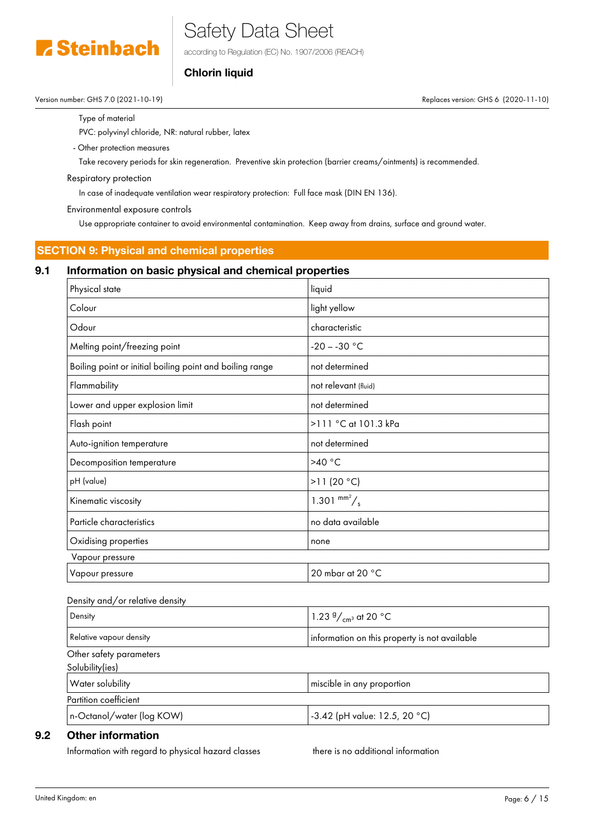

according to Regulation (EC) No. 1907/2006 (REACH)

## **Chlorin liquid**

#### Version number: GHS 7.0 (2021-10-19) Replaces version: GHS 6 (2020-11-10)

Type of material

PVC: polyvinyl chloride, NR: natural rubber, latex

- Other protection measures

Take recovery periods for skin regeneration. Preventive skin protection (barrier creams/ointments) is recommended.

#### Respiratory protection

In case of inadequate ventilation wear respiratory protection: Full face mask (DIN EN 136).

Environmental exposure controls

Use appropriate container to avoid environmental contamination. Keep away from drains, surface and ground water.

## **SECTION 9: Physical and chemical properties**

#### **9.1 Information on basic physical and chemical properties**

| Physical state                                           | liquid                                        |
|----------------------------------------------------------|-----------------------------------------------|
| Colour                                                   | light yellow                                  |
| Odour                                                    | characteristic                                |
| Melting point/freezing point                             | $-20 - -30$ °C                                |
| Boiling point or initial boiling point and boiling range | not determined                                |
| Flammability                                             | not relevant (fluid)                          |
| Lower and upper explosion limit                          | not determined                                |
| Flash point                                              | >111 °C at 101.3 kPa                          |
| Auto-ignition temperature                                | not determined                                |
| Decomposition temperature                                | >40 °C                                        |
| pH (value)                                               | >11(20 °C)                                    |
| Kinematic viscosity                                      | 1.301 $^{mm^2}/s$                             |
| Particle characteristics                                 | no data available                             |
| Oxidising properties                                     | none                                          |
| Vapour pressure                                          |                                               |
| Vapour pressure                                          | 20 mbar at 20 °C                              |
| Density and/or relative density                          |                                               |
| Density                                                  | 1.23 $9/$ <sub>cm</sub> <sub>3</sub> at 20 °C |
| Relative vapour density                                  | information on this property is not available |

#### Other safety parameters Solubility(ies)

|                       | <b>SOLUDILITY (IES)</b>   |                                  |  |  |
|-----------------------|---------------------------|----------------------------------|--|--|
|                       | Water solubility          | miscible in any proportion       |  |  |
| Partition coefficient |                           |                                  |  |  |
|                       | n-Octanol/water (log KOW) | $-.3.42$ (pH value: 12.5, 20 °C) |  |  |

## **9.2 Other information**

Information with regard to physical hazard classes there is no additional information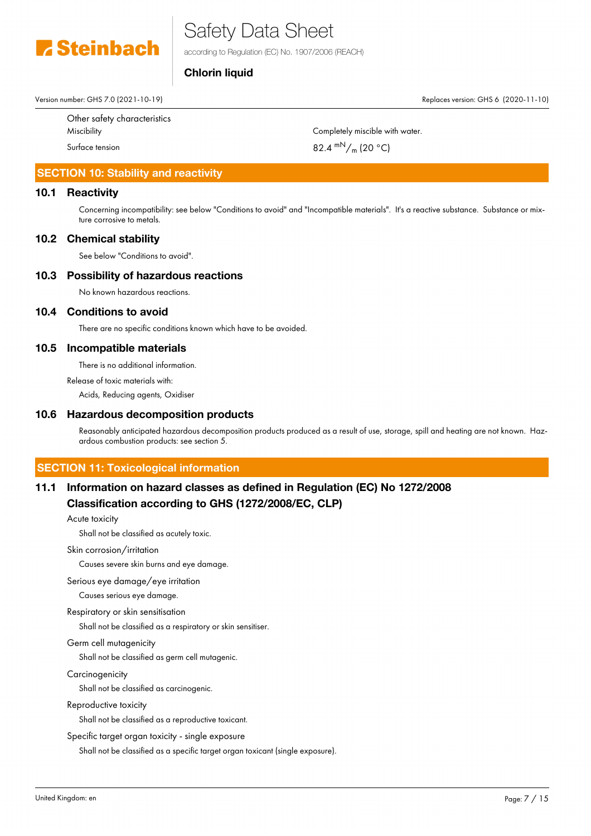

## **Chlorin liquid**

#### Version number: GHS 7.0 (2021-10-19) Replaces version: GHS 6 (2020-11-10)

Other safety characteristics

Miscibility Completely miscible with water.

Surface tension  $82.4 \text{ mN/m}$   $(20 \text{ °C})$ 

## **SECTION 10: Stability and reactivity**

#### **10.1 Reactivity**

Concerning incompatibility: see below "Conditions to avoid" and "Incompatible materials". It's a reactive substance. Substance or mixture corrosive to metals.

#### **10.2 Chemical stability**

See below "Conditions to avoid".

#### **10.3 Possibility of hazardous reactions**

No known hazardous reactions.

#### **10.4 Conditions to avoid**

There are no specific conditions known which have to be avoided.

#### **10.5 Incompatible materials**

There is no additional information.

Release of toxic materials with:

Acids, Reducing agents, Oxidiser

#### **10.6 Hazardous decomposition products**

Reasonably anticipated hazardous decomposition products produced as a result of use, storage, spill and heating are not known. Hazardous combustion products: see section 5.

## **SECTION 11: Toxicological information**

## **11.1 Information on hazard classes as defined in Regulation (EC) No 1272/2008 Classification according to GHS (1272/2008/EC, CLP)**

Acute toxicity

Shall not be classified as acutely toxic.

#### Skin corrosion/irritation

Causes severe skin burns and eye damage.

#### Serious eye damage/eye irritation

Causes serious eye damage.

#### Respiratory or skin sensitisation

Shall not be classified as a respiratory or skin sensitiser.

#### Germ cell mutagenicity

Shall not be classified as germ cell mutagenic.

#### **Carcinogenicity**

Shall not be classified as carcinogenic.

#### Reproductive toxicity

Shall not be classified as a reproductive toxicant.

Specific target organ toxicity - single exposure

Shall not be classified as a specific target organ toxicant (single exposure).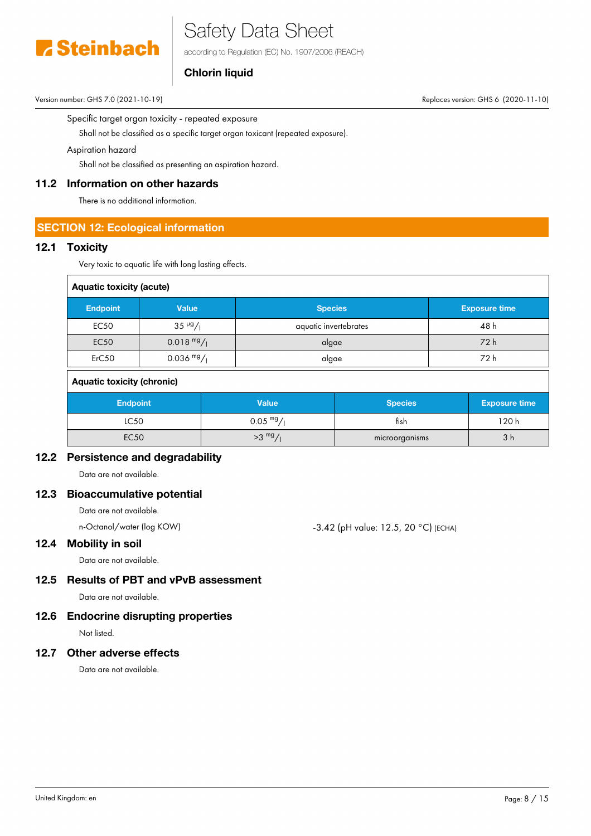

according to Regulation (EC) No. 1907/2006 (REACH)

## **Chlorin liquid**

#### Version number: GHS 7.0 (2021-10-19) Replaces version: GHS 6 (2020-11-10)

Specific target organ toxicity - repeated exposure

Shall not be classified as a specific target organ toxicant (repeated exposure).

#### Aspiration hazard

Shall not be classified as presenting an aspiration hazard.

#### **11.2 Information on other hazards**

There is no additional information.

## **SECTION 12: Ecological information**

### **12.1 Toxicity**

Very toxic to aquatic life with long lasting effects.

| <b>Aquatic toxicity (acute)</b> |                                      |                       |                      |  |  |  |
|---------------------------------|--------------------------------------|-----------------------|----------------------|--|--|--|
| <b>Endpoint</b>                 | <b>Value</b>                         | <b>Species</b>        | <b>Exposure time</b> |  |  |  |
| EC50                            | $35 \frac{\mu g}{I}$                 | aquatic invertebrates | 48 h                 |  |  |  |
| EC <sub>50</sub>                | $0.018 \frac{mg}{l}$                 | algae                 | 72h                  |  |  |  |
| ErC50                           | $0.036$ <sup>mg</sup> / <sub>1</sub> | algae                 | 72 h                 |  |  |  |

#### **Aquatic toxicity (chronic)**

| <b>Endpoint</b>  | <b>Value</b>        | <b>Species</b> | <b>Exposure time</b> |
|------------------|---------------------|----------------|----------------------|
| LC50             | $0.05 \frac{mg}{l}$ | fish           | 120h                 |
| EC <sub>50</sub> | $>3$ mg/            | microorganisms | n.<br>კ h            |

## **12.2 Persistence and degradability**

Data are not available.

## **12.3 Bioaccumulative potential**

Data are not available.

n-Octanol/water (log KOW) -3.42 (pH value: 12.5, 20 °C) (ECHA)

#### **12.4 Mobility in soil**

Data are not available.

## **12.5 Results of PBT and vPvB assessment**

Data are not available.

## **12.6 Endocrine disrupting properties**

Not listed.

## **12.7 Other adverse effects**

Data are not available.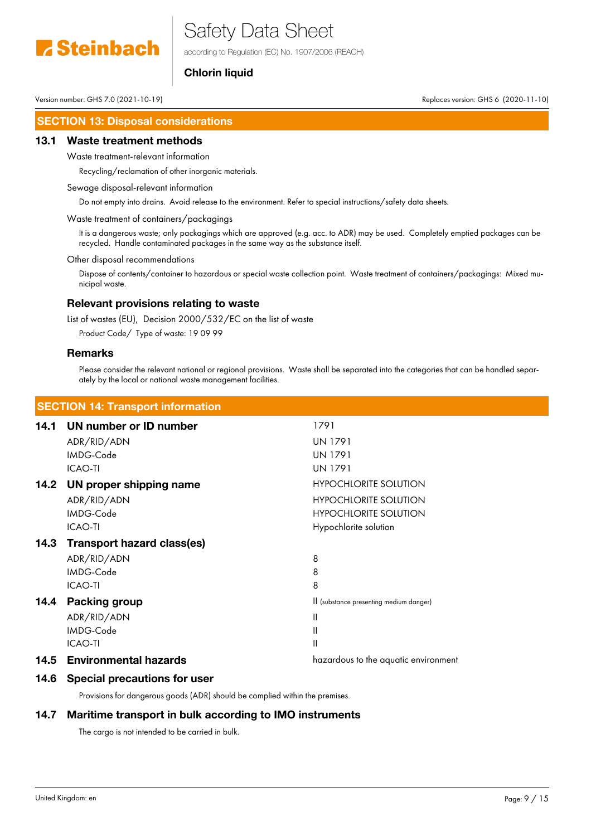

## **Chlorin liquid**

Version number: GHS 7.0 (2021-10-19) Replaces version: GHS 6 (2020-11-10)

#### **SECTION 13: Disposal considerations**

## **13.1 Waste treatment methods**

Waste treatment-relevant information

Recycling/reclamation of other inorganic materials.

#### Sewage disposal-relevant information

Do not empty into drains. Avoid release to the environment. Refer to special instructions/safety data sheets.

#### Waste treatment of containers/packagings

It is a dangerous waste; only packagings which are approved (e.g. acc. to ADR) may be used. Completely emptied packages can be recycled. Handle contaminated packages in the same way as the substance itself.

#### Other disposal recommendations

Dispose of contents/container to hazardous or special waste collection point. Waste treatment of containers/packagings: Mixed municipal waste.

#### **Relevant provisions relating to waste**

List of wastes (EU), Decision 2000/532/EC on the list of waste

Product Code/ Type of waste: 19 09 99

#### **Remarks**

Please consider the relevant national or regional provisions. Waste shall be separated into the categories that can be handled separately by the local or national waste management facilities.

|      | <b>SECTION 14: Transport information</b> |                                         |
|------|------------------------------------------|-----------------------------------------|
| 14.1 | UN number or ID number                   | 1791                                    |
|      | ADR/RID/ADN                              | <b>UN 1791</b>                          |
|      | IMDG-Code                                | <b>UN 1791</b>                          |
|      | <b>ICAO-TI</b>                           | <b>UN 1791</b>                          |
| 14.2 | UN proper shipping name                  | <b>HYPOCHLORITE SOLUTION</b>            |
|      | ADR/RID/ADN                              | <b>HYPOCHLORITE SOLUTION</b>            |
|      | IMDG-Code                                | <b>HYPOCHLORITE SOLUTION</b>            |
|      | <b>ICAO-TI</b>                           | Hypochlorite solution                   |
| 14.3 | <b>Transport hazard class(es)</b>        |                                         |
|      | ADR/RID/ADN                              | 8                                       |
|      | IMDG-Code                                | 8                                       |
|      | <b>ICAO-TI</b>                           | 8                                       |
| 14.4 | <b>Packing group</b>                     | II (substance presenting medium danger) |
|      | ADR/RID/ADN                              | $\mathbf{I}$                            |
|      | IMDG-Code                                | Ш                                       |
|      | <b>ICAO-TI</b>                           | $\mathbf{I}$                            |
| 14.5 | <b>Environmental hazards</b>             | hazardous to the aquatic environment    |
|      |                                          |                                         |

## **14.6 Special precautions for user**

Provisions for dangerous goods (ADR) should be complied within the premises.

#### **14.7 Maritime transport in bulk according to IMO instruments**

The cargo is not intended to be carried in bulk.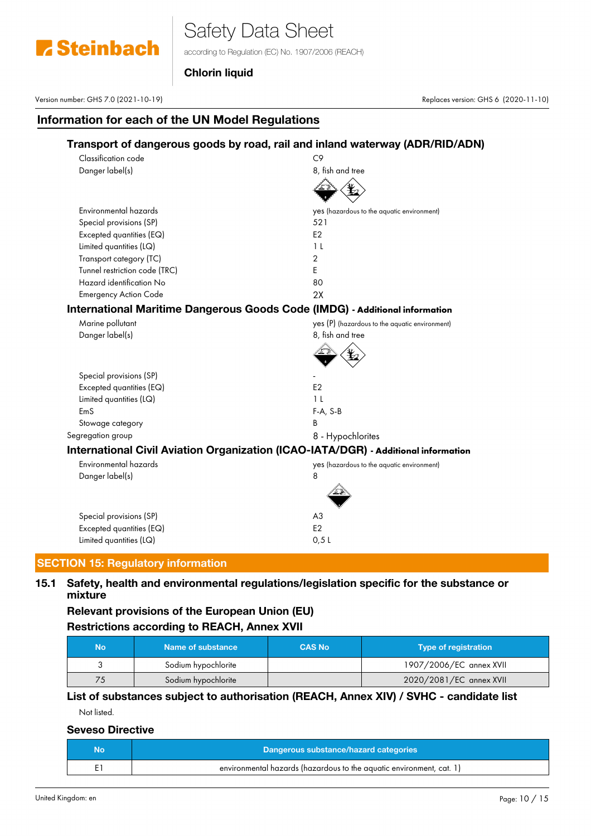

## **Chlorin liquid**

Version number: GHS 7.0 (2021-10-19) Replaces version: GHS 6 (2020-11-10)

## **Information for each of the UN Model Regulations**

## **Transport of dangerous goods by road, rail and inland waterway (ADR/RID/ADN)**

| Classification code           | C9                                                                                 |
|-------------------------------|------------------------------------------------------------------------------------|
| Danger label(s)               | 8, fish and tree                                                                   |
|                               |                                                                                    |
| Environmental hazards         | yes (hazardous to the aquatic environment)                                         |
| Special provisions (SP)       | 521                                                                                |
| Excepted quantities (EQ)      | E <sub>2</sub>                                                                     |
| Limited quantities (LQ)       | 1 <sub>l</sub>                                                                     |
| Transport category (TC)       | $\overline{2}$                                                                     |
| Tunnel restriction code (TRC) | E                                                                                  |
| Hazard identification No      | 80                                                                                 |
| <b>Emergency Action Code</b>  | 2X                                                                                 |
|                               | International Maritime Dangerous Goods Code (IMDG) - Additional information        |
| Marine pollutant              | yes (P) (hazardous to the aquatic environment)                                     |
| Danger label(s)               | 8, fish and tree                                                                   |
|                               |                                                                                    |
| Special provisions (SP)       |                                                                                    |
| Excepted quantities (EQ)      | E <sub>2</sub>                                                                     |
| Limited quantities (LQ)       | 1 <sub>l</sub>                                                                     |
| EmS                           | $F-A, S-B$                                                                         |
| Stowage category              | B                                                                                  |
| Segregation group             | 8 - Hypochlorites                                                                  |
|                               | International Civil Aviation Organization (ICAO-IATA/DGR) - Additional information |
| Environmental hazards         | yes (hazardous to the aquatic environment)                                         |
| Danger label(s)               | 8                                                                                  |
|                               |                                                                                    |
| Special provisions (SP)       | A <sub>3</sub>                                                                     |
| Excepted quantities (EQ)      | E <sub>2</sub>                                                                     |
| Limited quantities (LQ)       | 0,5L                                                                               |

## **SECTION 15: Regulatory information**

## **15.1 Safety, health and environmental regulations/legislation specific for the substance or mixture**

## **Relevant provisions of the European Union (EU) Restrictions according to REACH, Annex XVII**

| <b>No</b> | Name of substance   | <b>CAS No</b> | <b>Type of registration</b> |
|-----------|---------------------|---------------|-----------------------------|
|           | Sodium hypochlorite |               | 1907/2006/EC annex XVII     |
|           | Sodium hypochlorite |               | 2020/2081/EC annex XVII     |

## **List of substances subject to authorisation (REACH, Annex XIV) / SVHC - candidate list**

Not listed.

#### **Seveso Directive**

| Nο | Dangerous substance/hazard categories                                |
|----|----------------------------------------------------------------------|
|    | environmental hazards (hazardous to the aquatic environment, cat. 1) |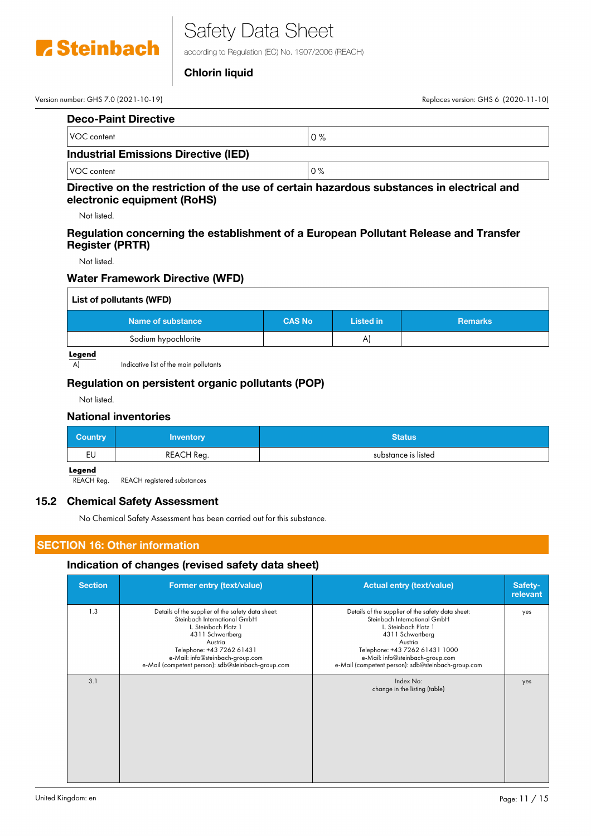

## **Chlorin liquid**

#### Version number: GHS 7.0 (2021-10-19) Replaces version: GHS 6 (2020-11-10)

| <b>Deco-Paint Directive</b>                 |    |  |  |
|---------------------------------------------|----|--|--|
| i VOC content                               | 0% |  |  |
| <b>Industrial Emissions Directive (IED)</b> |    |  |  |
| ⊩VOC content                                | 0% |  |  |

## **Directive on the restriction of the use of certain hazardous substances in electrical and electronic equipment (RoHS)**

Not listed.

## **Regulation concerning the establishment of a European Pollutant Release and Transfer Register (PRTR)**

Not listed.

#### **Water Framework Directive (WFD)**

| List of pollutants (WFD) |               |           |                |  |  |
|--------------------------|---------------|-----------|----------------|--|--|
| Name of substance        | <b>CAS No</b> | Listed in | <b>Remarks</b> |  |  |
| Sodium hypochlorite      |               | A         |                |  |  |

### **Legend**

A) Indicative list of the main pollutants

## **Regulation on persistent organic pollutants (POP)**

Not listed.

### **National inventories**

| <b>Country</b> | <b>Inventory</b> | Status              |
|----------------|------------------|---------------------|
| EU             | REACH Reg.       | substance is listed |

**Legend**<br>REACH Reg.

REACH registered substances

#### **15.2 Chemical Safety Assessment**

No Chemical Safety Assessment has been carried out for this substance.

## **SECTION 16: Other information**

## **Indication of changes (revised safety data sheet)**

| <b>Section</b> | <b>Former entry (text/value)</b>                                                                                                                                                                                                                                | <b>Actual entry (text/value)</b>                                                                                                                                                                                                                                     | Safety-<br>relevant |
|----------------|-----------------------------------------------------------------------------------------------------------------------------------------------------------------------------------------------------------------------------------------------------------------|----------------------------------------------------------------------------------------------------------------------------------------------------------------------------------------------------------------------------------------------------------------------|---------------------|
| 1.3            | Details of the supplier of the safety data sheet:<br>Steinbach International GmbH<br>L. Steinbach Platz 1<br>4311 Schwertberg<br>Austria<br>Telephone: +43 7262 61431<br>e-Mail: info@steinbach-group.com<br>e-Mail (competent person): sdb@steinbach-group.com | Details of the supplier of the safety data sheet:<br>Steinbach International GmbH<br>L. Steinbach Platz 1<br>4311 Schwertberg<br>Austria<br>Telephone: +43 7262 61431 1000<br>e-Mail: info@steinbach-group.com<br>e-Mail (competent person): sdb@steinbach-group.com | yes                 |
| 3.1            |                                                                                                                                                                                                                                                                 | Index No:<br>change in the listing (table)                                                                                                                                                                                                                           | yes                 |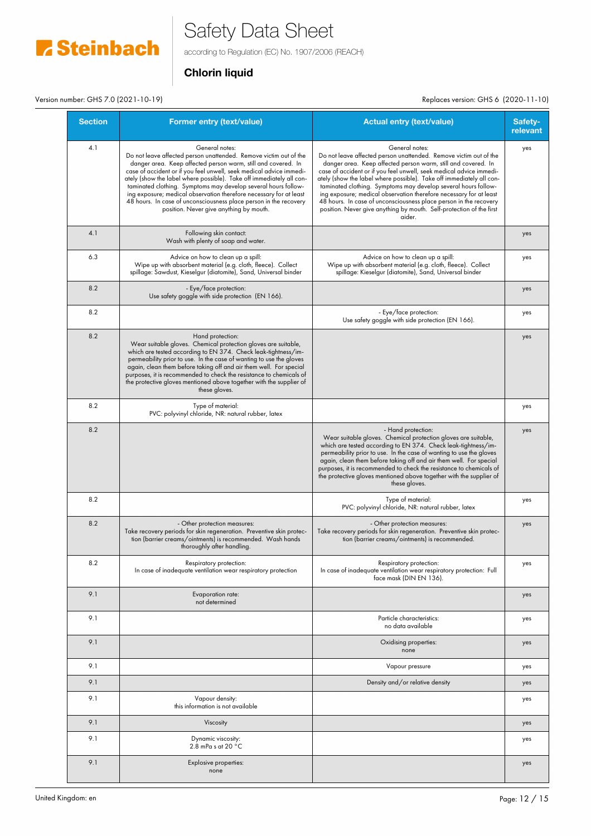

according to Regulation (EC) No. 1907/2006 (REACH)

## **Chlorin liquid**

#### Version number: GHS 7.0 (2021-10-19) Replaces version: GHS 6 (2020-11-10)

| <b>Section</b> | <b>Former entry (text/value)</b>                                                                                                                                                                                                                                                                                                                                                                                                                                                                                                                            | <b>Actual entry (text/value)</b>                                                                                                                                                                                                                                                                                                                                                                                                                                                                                                                                                                   | Safety-<br>relevant |
|----------------|-------------------------------------------------------------------------------------------------------------------------------------------------------------------------------------------------------------------------------------------------------------------------------------------------------------------------------------------------------------------------------------------------------------------------------------------------------------------------------------------------------------------------------------------------------------|----------------------------------------------------------------------------------------------------------------------------------------------------------------------------------------------------------------------------------------------------------------------------------------------------------------------------------------------------------------------------------------------------------------------------------------------------------------------------------------------------------------------------------------------------------------------------------------------------|---------------------|
| 4.1            | General notes:<br>Do not leave affected person unattended. Remove victim out of the<br>danger area. Keep affected person warm, still and covered. In<br>case of accident or if you feel unwell, seek medical advice immedi-<br>ately (show the label where possible). Take off immediately all con-<br>taminated clothing. Symptoms may develop several hours follow-<br>ing exposure; medical observation therefore necessary for at least<br>48 hours. In case of unconsciousness place person in the recovery<br>position. Never give anything by mouth. | General notes:<br>Do not leave affected person unattended. Remove victim out of the<br>danger area. Keep affected person warm, still and covered. In<br>case of accident or if you feel unwell, seek medical advice immedi-<br>ately (show the label where possible). Take off immediately all con-<br>taminated clothing. Symptoms may develop several hours follow-<br>ing exposure; medical observation therefore necessary for at least<br>48 hours. In case of unconsciousness place person in the recovery<br>position. Never give anything by mouth. Self-protection of the first<br>aider. | yes                 |
| 4.1            | Following skin contact:<br>Wash with plenty of soap and water.                                                                                                                                                                                                                                                                                                                                                                                                                                                                                              |                                                                                                                                                                                                                                                                                                                                                                                                                                                                                                                                                                                                    | yes                 |
| 6.3            | Advice on how to clean up a spill:<br>Wipe up with absorbent material (e.g. cloth, fleece). Collect<br>spillage: Sawdust, Kieselgur (diatomite), Sand, Universal binder                                                                                                                                                                                                                                                                                                                                                                                     | Advice on how to clean up a spill:<br>Wipe up with absorbent material (e.g. cloth, fleece). Collect<br>spillage: Kieselgur (diatomite), Sand, Universal binder                                                                                                                                                                                                                                                                                                                                                                                                                                     | yes                 |
| 8.2            | - Eye/face protection:<br>Use safety goggle with side protection (EN 166).                                                                                                                                                                                                                                                                                                                                                                                                                                                                                  |                                                                                                                                                                                                                                                                                                                                                                                                                                                                                                                                                                                                    | yes                 |
| 8.2            |                                                                                                                                                                                                                                                                                                                                                                                                                                                                                                                                                             | - Eye/face protection:<br>Use safety goggle with side protection (EN 166).                                                                                                                                                                                                                                                                                                                                                                                                                                                                                                                         | yes                 |
| 8.2            | Hand protection:<br>Wear suitable gloves. Chemical protection gloves are suitable,<br>which are tested according to EN 374. Check leak-tightness/im-<br>permeability prior to use. In the case of wanting to use the gloves<br>again, clean them before taking off and air them well. For special<br>purposes, it is recommended to check the resistance to chemicals of<br>the protective gloves mentioned above together with the supplier of<br>these gloves.                                                                                            |                                                                                                                                                                                                                                                                                                                                                                                                                                                                                                                                                                                                    | yes                 |
| 8.2            | Type of material:<br>PVC: polyvinyl chloride, NR: natural rubber, latex                                                                                                                                                                                                                                                                                                                                                                                                                                                                                     |                                                                                                                                                                                                                                                                                                                                                                                                                                                                                                                                                                                                    | yes                 |
| 8.2            |                                                                                                                                                                                                                                                                                                                                                                                                                                                                                                                                                             | - Hand protection:<br>Wear suitable gloves. Chemical protection gloves are suitable,<br>which are tested according to EN 374. Check leak-tightness/im-<br>permeability prior to use. In the case of wanting to use the gloves<br>again, clean them before taking off and air them well. For special<br>purposes, it is recommended to check the resistance to chemicals of<br>the protective gloves mentioned above together with the supplier of<br>these gloves.                                                                                                                                 | yes                 |
| 8.2            |                                                                                                                                                                                                                                                                                                                                                                                                                                                                                                                                                             | Type of material:<br>PVC: polyvinyl chloride, NR: natural rubber, latex                                                                                                                                                                                                                                                                                                                                                                                                                                                                                                                            | yes                 |
| 8.2            | - Other protection measures:<br>Take recovery periods for skin regeneration. Preventive skin protec-<br>tion (barrier creams/ointments) is recommended. Wash hands<br>thoroughly after handling.                                                                                                                                                                                                                                                                                                                                                            | - Other protection measures:<br>Take recovery periods for skin regeneration. Preventive skin protec-<br>tion (barrier creams/ointments) is recommended.                                                                                                                                                                                                                                                                                                                                                                                                                                            | yes                 |
| 8.2            | Respiratory protection:<br>In case of inadequate ventilation wear respiratory protection                                                                                                                                                                                                                                                                                                                                                                                                                                                                    | Respiratory protection:<br>In case of inadequate ventilation wear respiratory protection: Full<br>face mask (DIN EN 136).                                                                                                                                                                                                                                                                                                                                                                                                                                                                          | yes                 |
| 9.1            | Evaporation rate:<br>not determined                                                                                                                                                                                                                                                                                                                                                                                                                                                                                                                         |                                                                                                                                                                                                                                                                                                                                                                                                                                                                                                                                                                                                    | yes                 |
| 9.1            |                                                                                                                                                                                                                                                                                                                                                                                                                                                                                                                                                             | Particle characteristics:<br>no data available                                                                                                                                                                                                                                                                                                                                                                                                                                                                                                                                                     | yes                 |
| 9.1            |                                                                                                                                                                                                                                                                                                                                                                                                                                                                                                                                                             | Oxidising properties:<br>none                                                                                                                                                                                                                                                                                                                                                                                                                                                                                                                                                                      | yes                 |
| 9.1            |                                                                                                                                                                                                                                                                                                                                                                                                                                                                                                                                                             | Vapour pressure                                                                                                                                                                                                                                                                                                                                                                                                                                                                                                                                                                                    | yes                 |
| 9.1            |                                                                                                                                                                                                                                                                                                                                                                                                                                                                                                                                                             | Density and/or relative density                                                                                                                                                                                                                                                                                                                                                                                                                                                                                                                                                                    | yes                 |
| 9.1            | Vapour density:<br>this information is not available                                                                                                                                                                                                                                                                                                                                                                                                                                                                                                        |                                                                                                                                                                                                                                                                                                                                                                                                                                                                                                                                                                                                    | yes                 |
| 9.1            | Viscosity                                                                                                                                                                                                                                                                                                                                                                                                                                                                                                                                                   |                                                                                                                                                                                                                                                                                                                                                                                                                                                                                                                                                                                                    | yes                 |
| 9.1            | Dynamic viscosity:<br>2.8 mPas at 20 °C                                                                                                                                                                                                                                                                                                                                                                                                                                                                                                                     |                                                                                                                                                                                                                                                                                                                                                                                                                                                                                                                                                                                                    | yes                 |
| 9.1            | Explosive properties:<br>none                                                                                                                                                                                                                                                                                                                                                                                                                                                                                                                               |                                                                                                                                                                                                                                                                                                                                                                                                                                                                                                                                                                                                    | yes                 |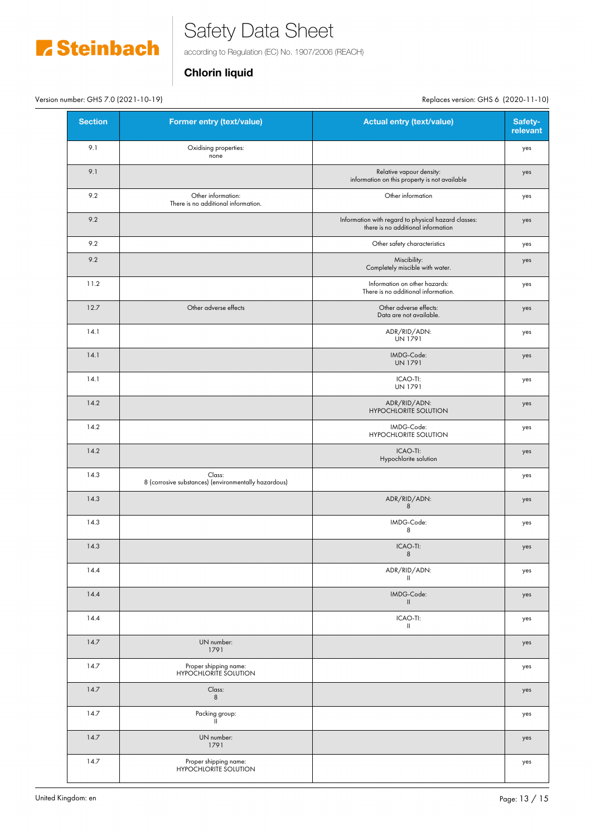

according to Regulation (EC) No. 1907/2006 (REACH)

## **Chlorin liquid**

#### Version number: GHS 7.0 (2021-10-19) Replaces version: GHS 6 (2020-11-10)

| <b>Section</b> | Former entry (text/value)                                      | <b>Actual entry (text/value)</b>                                                          | Safety-<br>relevant |
|----------------|----------------------------------------------------------------|-------------------------------------------------------------------------------------------|---------------------|
| 9.1            | Oxidising properties:<br>none                                  |                                                                                           | yes                 |
| 9.1            |                                                                | Relative vapour density:<br>information on this property is not available                 | yes                 |
| 9.2            | Other information:<br>There is no additional information.      | Other information                                                                         | yes                 |
| 9.2            |                                                                | Information with regard to physical hazard classes:<br>there is no additional information | yes                 |
| 9.2            |                                                                | Other safety characteristics                                                              | yes                 |
| 9.2            |                                                                | Miscibility:<br>Completely miscible with water.                                           | yes                 |
| 11.2           |                                                                | Information on other hazards:<br>There is no additional information.                      | yes                 |
| 12.7           | Other adverse effects                                          | Other adverse effects:<br>Data are not available.                                         | yes                 |
| 14.1           |                                                                | ADR/RID/ADN:<br><b>UN 1791</b>                                                            | yes                 |
| 14.1           |                                                                | IMDG-Code:<br><b>UN 1791</b>                                                              | yes                 |
| 14.1           |                                                                | ICAO-TI:<br>UN 1791                                                                       | yes                 |
| 14.2           |                                                                | ADR/RID/ADN:<br><b>HYPOCHLORITE SOLUTION</b>                                              | yes                 |
| 14.2           |                                                                | IMDG-Code:<br><b>HYPOCHLORITE SOLUTION</b>                                                | yes                 |
| 14.2           |                                                                | ICAO-TI:<br>Hypochlorite solution                                                         | yes                 |
| 14.3           | Class:<br>8 (corrosive substances) (environmentally hazardous) |                                                                                           | yes                 |
| 14.3           |                                                                | ADR/RID/ADN:<br>$\bf 8$                                                                   | yes                 |
| 14.3           |                                                                | IMDG-Code:<br>8                                                                           | yes                 |
| 14.3           |                                                                | ICAO-TI:<br>8                                                                             | yes                 |
| 14.4           |                                                                | ADR/RID/ADN:<br>Ш.                                                                        | yes                 |
| 14.4           |                                                                | IMDG-Code:<br>$\parallel$                                                                 | yes                 |
| 14.4           |                                                                | ICAO-TI:<br>$\parallel$                                                                   | yes                 |
| 14.7           | UN number:<br>1791                                             |                                                                                           | yes                 |
| 14.7           | Proper shipping name:<br><b>HYPOCHLORITE SOLUTION</b>          |                                                                                           | yes                 |
| 14.7           | Class:<br>8                                                    |                                                                                           | yes                 |
| 14.7           | Packing group:<br>JL.                                          |                                                                                           | yes                 |
| 14.7           | UN number:<br>1791                                             |                                                                                           | yes                 |
| 14.7           | Proper shipping name:<br><b>HYPOCHLORITE SOLUTION</b>          |                                                                                           | yes                 |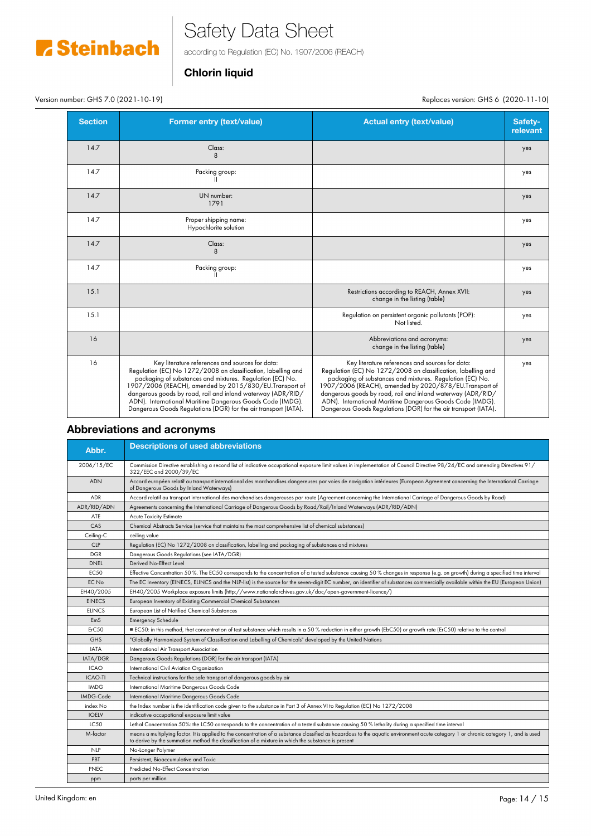

according to Regulation (EC) No. 1907/2006 (REACH)

## **Chlorin liquid**

#### Version number: GHS 7.0 (2021-10-19) Replaces version: GHS 6 (2020-11-10)

| <b>Section</b> | <b>Former entry (text/value)</b>                                                                                                                                                                                                                                                                                                                                                                                                       | <b>Actual entry (text/value)</b>                                                                                                                                                                                                                                                                                                                                                                                                       | Safety-<br>relevant |
|----------------|----------------------------------------------------------------------------------------------------------------------------------------------------------------------------------------------------------------------------------------------------------------------------------------------------------------------------------------------------------------------------------------------------------------------------------------|----------------------------------------------------------------------------------------------------------------------------------------------------------------------------------------------------------------------------------------------------------------------------------------------------------------------------------------------------------------------------------------------------------------------------------------|---------------------|
| 14.7           | Class:<br>8                                                                                                                                                                                                                                                                                                                                                                                                                            |                                                                                                                                                                                                                                                                                                                                                                                                                                        | yes                 |
| 14.7           | Packing group:<br>Ш                                                                                                                                                                                                                                                                                                                                                                                                                    |                                                                                                                                                                                                                                                                                                                                                                                                                                        | yes                 |
| 14.7           | UN number:<br>1791                                                                                                                                                                                                                                                                                                                                                                                                                     |                                                                                                                                                                                                                                                                                                                                                                                                                                        | yes                 |
| 14.7           | Proper shipping name:<br>Hypochlorite solution                                                                                                                                                                                                                                                                                                                                                                                         |                                                                                                                                                                                                                                                                                                                                                                                                                                        | yes                 |
| 14.7           | Class:<br>8                                                                                                                                                                                                                                                                                                                                                                                                                            |                                                                                                                                                                                                                                                                                                                                                                                                                                        | yes                 |
| 14.7           | Packing group:<br>Ш                                                                                                                                                                                                                                                                                                                                                                                                                    |                                                                                                                                                                                                                                                                                                                                                                                                                                        | yes                 |
| 15.1           |                                                                                                                                                                                                                                                                                                                                                                                                                                        | Restrictions according to REACH, Annex XVII:<br>change in the listing (table)                                                                                                                                                                                                                                                                                                                                                          | yes                 |
| 15.1           |                                                                                                                                                                                                                                                                                                                                                                                                                                        | Regulation on persistent organic pollutants (POP):<br>Not listed.                                                                                                                                                                                                                                                                                                                                                                      | yes                 |
| 16             |                                                                                                                                                                                                                                                                                                                                                                                                                                        | Abbreviations and acronyms:<br>change in the listing (table)                                                                                                                                                                                                                                                                                                                                                                           | yes                 |
| 16             | Key literature references and sources for data:<br>Regulation (EC) No 1272/2008 on classification, labelling and<br>packaging of substances and mixtures. Regulation (EC) No.<br>1907/2006 (REACH), amended by 2015/830/EU.Transport of<br>dangerous goods by road, rail and inland waterway (ADR/RID/<br>ADN). International Maritime Dangerous Goods Code (IMDG).<br>Dangerous Goods Regulations (DGR) for the air transport (IATA). | Key literature references and sources for data:<br>Regulation (EC) No 1272/2008 on classification, labelling and<br>packaging of substances and mixtures. Regulation (EC) No.<br>1907/2006 (REACH), amended by 2020/878/EU.Transport of<br>dangerous goods by road, rail and inland waterway (ADR/RID/<br>ADN). International Maritime Dangerous Goods Code (IMDG).<br>Dangerous Goods Regulations (DGR) for the air transport (IATA). | yes                 |

## **Abbreviations and acronyms**

| Abbr.          | <b>Descriptions of used abbreviations</b>                                                                                                                                                                                                                                                   |
|----------------|---------------------------------------------------------------------------------------------------------------------------------------------------------------------------------------------------------------------------------------------------------------------------------------------|
| 2006/15/EC     | Commission Directive establishing a second list of indicative occupational exposure limit values in implementation of Council Directive 98/24/EC and amending Directives 91/<br>322/EEC and 2000/39/EC                                                                                      |
| <b>ADN</b>     | Accord européen relatif au transport international des marchandises dangereuses par voies de navigation intérieures (European Agreement concerning the International Carriage<br>of Dangerous Goods by Inland Waterways)                                                                    |
| <b>ADR</b>     | Accord relatif au transport international des marchandises dangereuses par route (Agreement concerning the International Carriage of Dangerous Goods by Road)                                                                                                                               |
| ADR/RID/ADN    | Agreements concerning the International Carriage of Dangerous Goods by Road/Rail/Inland Waterways (ADR/RID/ADN)                                                                                                                                                                             |
| ATE            | <b>Acute Toxicity Estimate</b>                                                                                                                                                                                                                                                              |
| CAS            | Chemical Abstracts Service (service that maintains the most comprehensive list of chemical substances)                                                                                                                                                                                      |
| Ceiling-C      | ceiling value                                                                                                                                                                                                                                                                               |
| <b>CLP</b>     | Regulation (EC) No 1272/2008 on classification, labelling and packaging of substances and mixtures                                                                                                                                                                                          |
| <b>DGR</b>     | Dangerous Goods Regulations (see IATA/DGR)                                                                                                                                                                                                                                                  |
| <b>DNEL</b>    | Derived No-Effect Level                                                                                                                                                                                                                                                                     |
| <b>EC50</b>    | Effective Concentration 50 %. The EC50 corresponds to the concentration of a tested substance causing 50 % changes in response (e.g. on growth) during a specified time interval                                                                                                            |
| EC No          | The EC Inventory (EINECS, ELINCS and the NLP-list) is the source for the seven-digit EC number, an identifier of substances commercially available within the EU (European Union)                                                                                                           |
| EH40/2005      | EH40/2005 Workplace exposure limits (http://www.nationalarchives.gov.uk/doc/open-government-licence/)                                                                                                                                                                                       |
| <b>EINECS</b>  | European Inventory of Existing Commercial Chemical Substances                                                                                                                                                                                                                               |
| <b>ELINCS</b>  | European List of Notified Chemical Substances                                                                                                                                                                                                                                               |
| EmS            | <b>Emergency Schedule</b>                                                                                                                                                                                                                                                                   |
| ErC50          | EC50: in this method, that concentration of test substance which results in a 50 % reduction in either growth (EbC50) or growth rate (ErC50) relative to the control                                                                                                                        |
| <b>GHS</b>     | "Globally Harmonized System of Classification and Labelling of Chemicals" developed by the United Nations                                                                                                                                                                                   |
| <b>IATA</b>    | International Air Transport Association                                                                                                                                                                                                                                                     |
| IATA/DGR       | Dangerous Goods Regulations (DGR) for the air transport (IATA)                                                                                                                                                                                                                              |
| <b>ICAO</b>    | International Civil Aviation Organization                                                                                                                                                                                                                                                   |
| <b>ICAO-TI</b> | Technical instructions for the safe transport of dangerous goods by air                                                                                                                                                                                                                     |
| <b>IMDG</b>    | International Maritime Dangerous Goods Code                                                                                                                                                                                                                                                 |
| IMDG-Code      | International Maritime Dangerous Goods Code                                                                                                                                                                                                                                                 |
| index No       | the Index number is the identification code given to the substance in Part 3 of Annex VI to Regulation (EC) No 1272/2008                                                                                                                                                                    |
| <b>IOELV</b>   | indicative occupational exposure limit value                                                                                                                                                                                                                                                |
| LC50           | Lethal Concentration 50%: the LC50 corresponds to the concentration of a tested substance causing 50% lethality during a specified time interval                                                                                                                                            |
| M-factor       | means a multiplying factor. It is applied to the concentration of a substance classified as hazardous to the aquatic environment acute category 1 or chronic category 1, and is used<br>to derive by the summation method the classification of a mixture in which the substance is present |
| <b>NLP</b>     | No-Longer Polymer                                                                                                                                                                                                                                                                           |
| PBT            | Persistent, Bioaccumulative and Toxic                                                                                                                                                                                                                                                       |
| PNEC.          | Predicted No-Effect Concentration                                                                                                                                                                                                                                                           |
| ppm            | parts per million                                                                                                                                                                                                                                                                           |